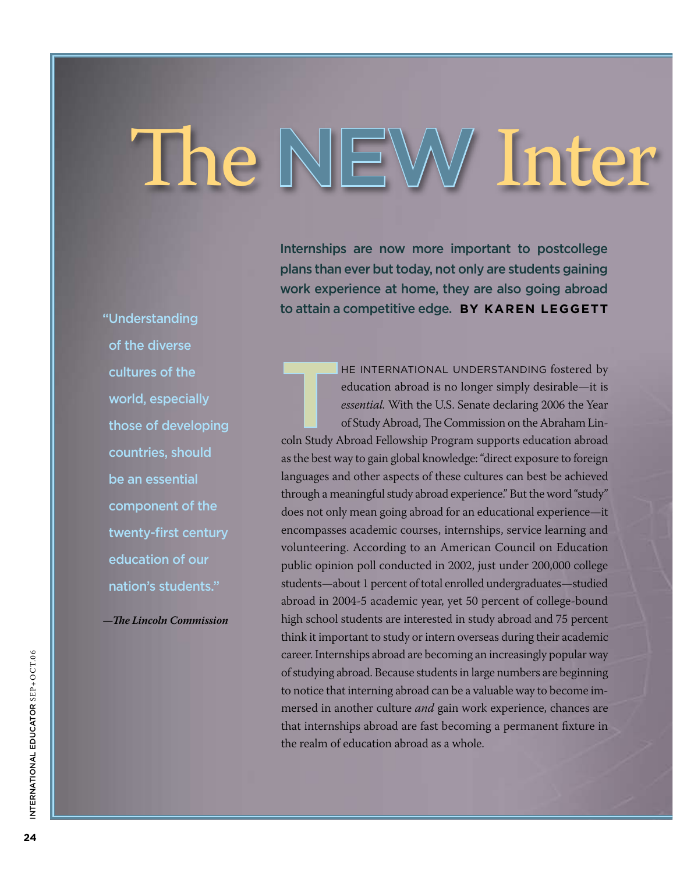# The NEW Inter

Internships are now more important to postcollege plans than ever but today, not only are students gaining work experience at home, they are also going abroad to attain a competitive edge. **By Karen Leggett**

HE INTERNATIONAL UNDERSTANDING fostered by<br>education abroad is no longer simply desirable—it is<br>essential. With the U.S. Senate declaring 2006 the Year<br>of Study Abroad, The Commission on the Abraham Lineducation abroad is no longer simply desirable—it is *essential.* With the U.S. Senate declaring 2006 the Year of Study Abroad, The Commission on the Abraham Lincoln Study Abroad Fellowship Program supports education abroad as the best way to gain global knowledge: "direct exposure to foreign languages and other aspects of these cultures can best be achieved through a meaningful study abroad experience." But the word "study" does not only mean going abroad for an educational experience—it encompasses academic courses, internships, service learning and volunteering. According to an American Council on Education public opinion poll conducted in 2002, just under 200,000 college students—about 1 percent of total enrolled undergraduates—studied abroad in 2004-5 academic year, yet 50 percent of college-bound high school students are interested in study abroad and 75 percent think it important to study or intern overseas during their academic career. Internships abroad are becoming an increasingly popular way of studying abroad. Because students in large numbers are beginning to notice that interning abroad can be a valuable way to become immersed in another culture *and* gain work experience, chances are that internships abroad are fast becoming a permanent fixture in the realm of education abroad as a whole.

" Understanding of the diverse cultures of the world, especially those of developing countries, should be an essential component of the twenty-first century education of our nation's students."

*—The Lincoln Commission*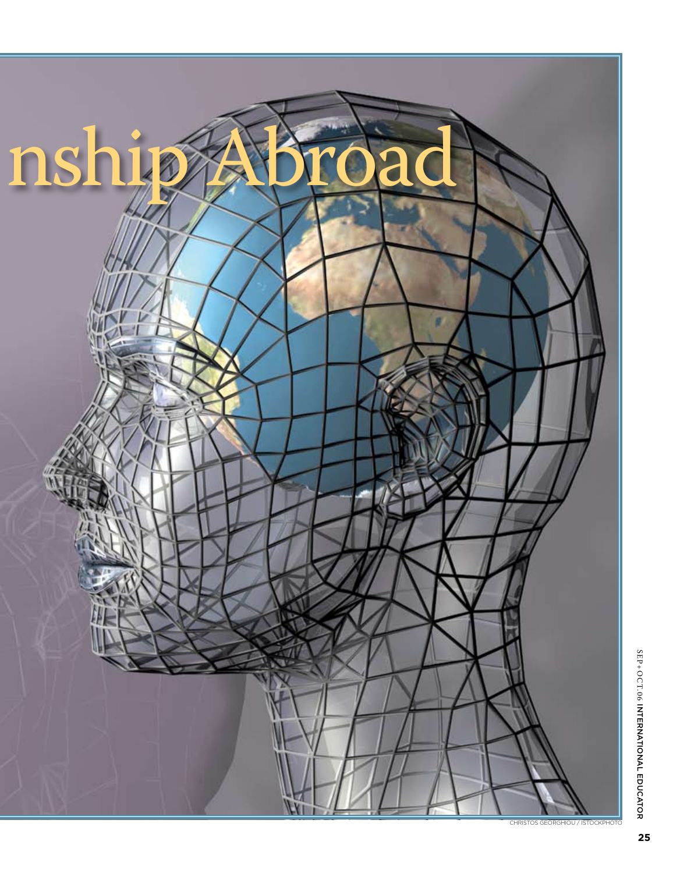

SE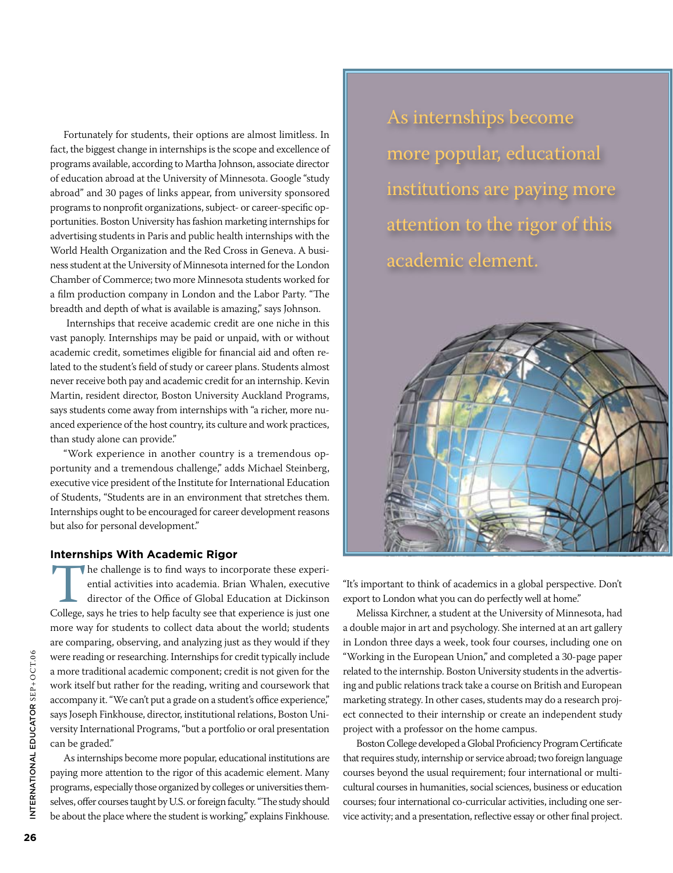Fortunately for students, their options are almost limitless. In fact, the biggest change in internships is the scope and excellence of programs available, according to Martha Johnson, associate director of education abroad at the University of Minnesota. Google "study abroad" and 30 pages of links appear, from university sponsored programs to nonprofit organizations, subject- or career-specific opportunities. Boston University has fashion marketing internships for advertising students in Paris and public health internships with the World Health Organization and the Red Cross in Geneva. A business student at the University of Minnesota interned for the London Chamber of Commerce; two more Minnesota students worked for a film production company in London and the Labor Party. "The breadth and depth of what is available is amazing," says Johnson.

 Internships that receive academic credit are one niche in this vast panoply. Internships may be paid or unpaid, with or without academic credit, sometimes eligible for financial aid and often related to the student's field of study or career plans. Students almost never receive both pay and academic credit for an internship. Kevin Martin, resident director, Boston University Auckland Programs, says students come away from internships with "a richer, more nuanced experience of the host country, its culture and work practices, than study alone can provide."

"Work experience in another country is a tremendous opportunity and a tremendous challenge," adds Michael Steinberg, executive vice president of the Institute for International Education of Students, "Students are in an environment that stretches them. Internships ought to be encouraged for career development reasons but also for personal development."

### **Internships With Academic Rigor**

The challenge is to find ways to incorporate these experiential activities into academia. Brian Whalen, executive director of the Office of Global Education at Dickinson College, says he tries to help faculty see that expe ential activities into academia. Brian Whalen, executive director of the Office of Global Education at Dickinson more way for students to collect data about the world; students are comparing, observing, and analyzing just as they would if they were reading or researching. Internships for credit typically include a more traditional academic component; credit is not given for the work itself but rather for the reading, writing and coursework that accompany it. "We can't put a grade on a student's office experience," says Joseph Finkhouse, director, institutional relations, Boston University International Programs, "but a portfolio or oral presentation can be graded."

As internships become more popular, educational institutions are paying more attention to the rigor of this academic element. Many programs, especially those organized by colleges or universities themselves, offer courses taught by U.S. or foreign faculty. "The study should be about the place where the student is working," explains Finkhouse.

As internships become more popular, educational institutions are paying more attention to the rigor of this academic element.



"It's important to think of academics in a global perspective. Don't export to London what you can do perfectly well at home."

Melissa Kirchner, a student at the University of Minnesota, had a double major in art and psychology. She interned at an art gallery in London three days a week, took four courses, including one on "Working in the European Union," and completed a 30-page paper related to the internship. Boston University students in the advertising and public relations track take a course on British and European marketing strategy. In other cases, students may do a research project connected to their internship or create an independent study project with a professor on the home campus.

Boston College developed a Global Proficiency Program Certificate that requires study, internship or service abroad; two foreign language courses beyond the usual requirement; four international or multicultural courses in humanities, social sciences, business or education courses; four international co-curricular activities, including one service activity; and a presentation, reflective essay or other final project.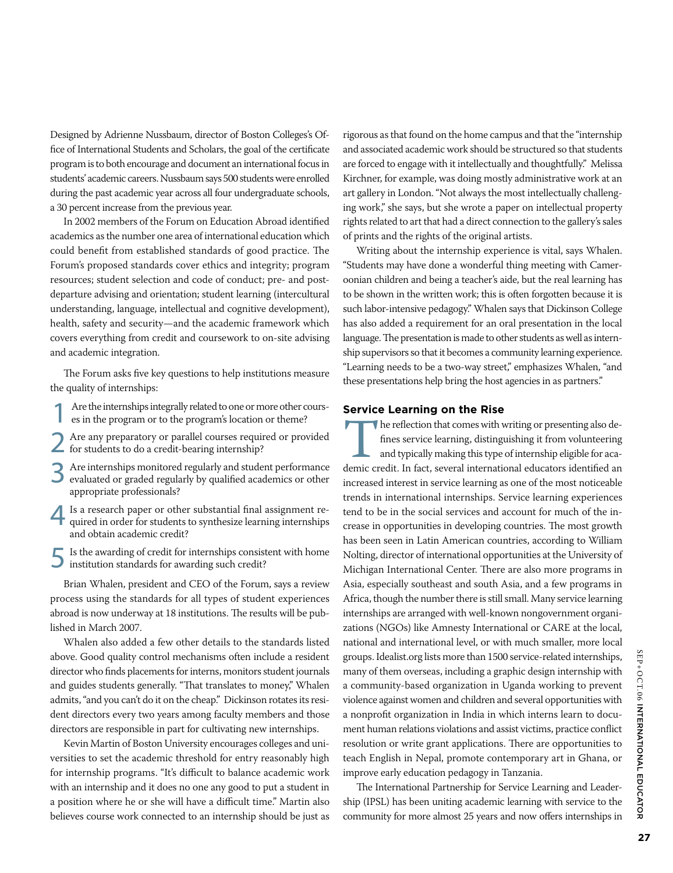Designed by Adrienne Nussbaum, director of Boston Colleges's Office of International Students and Scholars, the goal of the certificate program is to both encourage and document an international focus in students' academic careers. Nussbaum says 500 students were enrolled during the past academic year across all four undergraduate schools, a 30 percent increase from the previous year.

In 2002 members of the Forum on Education Abroad identified academics as the number one area of international education which could benefit from established standards of good practice. The Forum's proposed standards cover ethics and integrity; program resources; student selection and code of conduct; pre- and postdeparture advising and orientation; student learning (intercultural understanding, language, intellectual and cognitive development), health, safety and security—and the academic framework which covers everything from credit and coursework to on-site advising and academic integration.

The Forum asks five key questions to help institutions measure the quality of internships:

- Are the internships integrally related to one or more other courses in the program or to the program's location or theme?
- 2 Are any preparatory or parallel courses required or provided for students to do a credit-bearing internship?
- Are internships monitored regularly and student performance evaluated or graded regularly by qualified academics or other appropriate professionals?
- Is a research paper or other substantial final assignment required in order for students to synthesize learning internships and obtain academic credit?
- 5 Is the awarding of credit for internships consistent with home institution standards for awarding such credit?

Brian Whalen, president and CEO of the Forum, says a review process using the standards for all types of student experiences abroad is now underway at 18 institutions. The results will be published in March 2007.

Whalen also added a few other details to the standards listed above. Good quality control mechanisms often include a resident director who finds placements for interns, monitors student journals and guides students generally. "That translates to money," Whalen admits, "and you can't do it on the cheap." Dickinson rotates its resident directors every two years among faculty members and those directors are responsible in part for cultivating new internships.

Kevin Martin of Boston University encourages colleges and universities to set the academic threshold for entry reasonably high for internship programs. "It's difficult to balance academic work with an internship and it does no one any good to put a student in a position where he or she will have a difficult time." Martin also believes course work connected to an internship should be just as

rigorous as that found on the home campus and that the "internship and associated academic work should be structured so that students are forced to engage with it intellectually and thoughtfully." Melissa Kirchner, for example, was doing mostly administrative work at an art gallery in London. "Not always the most intellectually challenging work," she says, but she wrote a paper on intellectual property rights related to art that had a direct connection to the gallery's sales of prints and the rights of the original artists.

Writing about the internship experience is vital, says Whalen. "Students may have done a wonderful thing meeting with Cameroonian children and being a teacher's aide, but the real learning has to be shown in the written work; this is often forgotten because it is such labor-intensive pedagogy." Whalen says that Dickinson College has also added a requirement for an oral presentation in the local language. The presentation is made to other students as well as internship supervisors so that it becomes a community learning experience. "Learning needs to be a two-way street," emphasizes Whalen, "and these presentations help bring the host agencies in as partners."

### **Service Learning on the Rise**

The reflection that comes with writing or presenting also de-<br>fines service learning, distinguishing it from volunteering<br>and typically making this type of internship eligible for aca-<br>demic credit. In fact, several intern fines service learning, distinguishing it from volunteering and typically making this type of internship eligible for acaincreased interest in service learning as one of the most noticeable trends in international internships. Service learning experiences tend to be in the social services and account for much of the increase in opportunities in developing countries. The most growth has been seen in Latin American countries, according to William Nolting, director of international opportunities at the University of Michigan International Center. There are also more programs in Asia, especially southeast and south Asia, and a few programs in Africa, though the number there is still small. Many service learning internships are arranged with well-known nongovernment organizations (NGOs) like Amnesty International or CARE at the local, national and international level, or with much smaller, more local groups. Idealist.org lists more than 1500 service-related internships, many of them overseas, including a graphic design internship with a community-based organization in Uganda working to prevent violence against women and children and several opportunities with a nonprofit organization in India in which interns learn to document human relations violations and assist victims, practice conflict resolution or write grant applications. There are opportunities to teach English in Nepal, promote contemporary art in Ghana, or improve early education pedagogy in Tanzania.

The International Partnership for Service Learning and Leadership (IPSL) has been uniting academic learning with service to the community for more almost 25 years and now offers internships in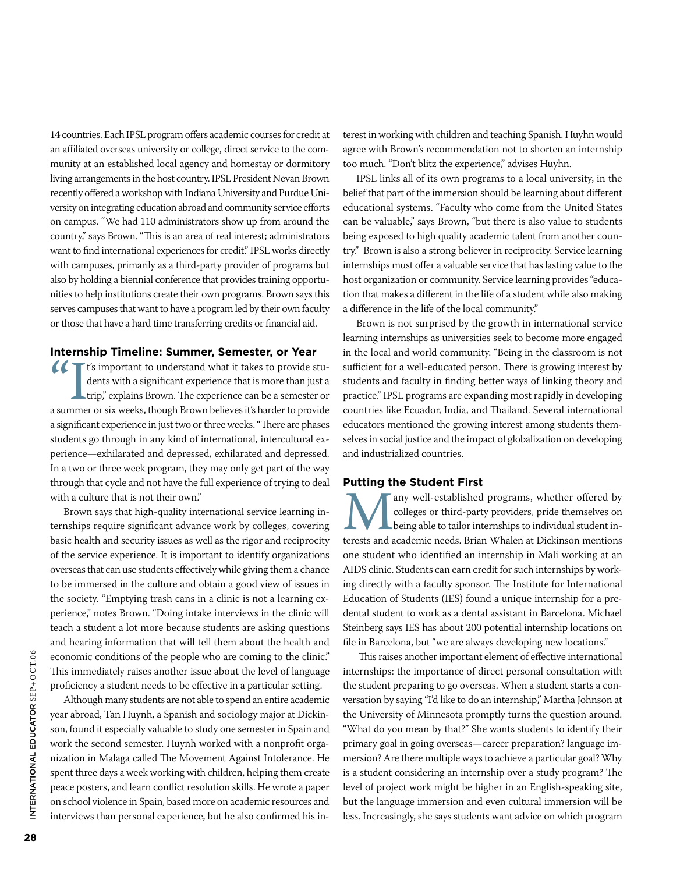14 countries. Each IPSL program offers academic courses for credit at an affiliated overseas university or college, direct service to the community at an established local agency and homestay or dormitory living arrangements in the host country. IPSL President Nevan Brown recently offered a workshop with Indiana University and Purdue University on integrating education abroad and community service efforts on campus. "We had 110 administrators show up from around the country," says Brown. "This is an area of real interest; administrators want to find international experiences for credit." IPSL works directly with campuses, primarily as a third-party provider of programs but also by holding a biennial conference that provides training opportunities to help institutions create their own programs. Brown says this serves campuses that want to have a program led by their own faculty or those that have a hard time transferring credits or financial aid.

## **Internship Timeline: Summer, Semester, or Year**

It's important to understand what it takes to provide students with a significant experience that is more than just a trip," explains Brown. The experience can be a semester or a summer or six weeks, though Brown believes dents with a significant experience that is more than just a trip," explains Brown. The experience can be a semester or a summer or six weeks, though Brown believes it's harder to provide a significant experience in just two or three weeks. "There are phases students go through in any kind of international, intercultural experience—exhilarated and depressed, exhilarated and depressed. In a two or three week program, they may only get part of the way through that cycle and not have the full experience of trying to deal with a culture that is not their own."

Brown says that high-quality international service learning internships require significant advance work by colleges, covering basic health and security issues as well as the rigor and reciprocity of the service experience. It is important to identify organizations overseas that can use students effectively while giving them a chance to be immersed in the culture and obtain a good view of issues in the society. "Emptying trash cans in a clinic is not a learning experience," notes Brown. "Doing intake interviews in the clinic will teach a student a lot more because students are asking questions and hearing information that will tell them about the health and economic conditions of the people who are coming to the clinic." This immediately raises another issue about the level of language proficiency a student needs to be effective in a particular setting.

Although many students are not able to spend an entire academic year abroad, Tan Huynh, a Spanish and sociology major at Dickinson, found it especially valuable to study one semester in Spain and work the second semester. Huynh worked with a nonprofit organization in Malaga called The Movement Against Intolerance. He spent three days a week working with children, helping them create peace posters, and learn conflict resolution skills. He wrote a paper on school violence in Spain, based more on academic resources and interviews than personal experience, but he also confirmed his interest in working with children and teaching Spanish. Huyhn would agree with Brown's recommendation not to shorten an internship too much. "Don't blitz the experience," advises Huyhn.

IPSL links all of its own programs to a local university, in the belief that part of the immersion should be learning about different educational systems. "Faculty who come from the United States can be valuable," says Brown, "but there is also value to students being exposed to high quality academic talent from another country." Brown is also a strong believer in reciprocity. Service learning internships must offer a valuable service that has lasting value to the host organization or community. Service learning provides "education that makes a different in the life of a student while also making a difference in the life of the local community."

Brown is not surprised by the growth in international service learning internships as universities seek to become more engaged in the local and world community. "Being in the classroom is not sufficient for a well-educated person. There is growing interest by students and faculty in finding better ways of linking theory and practice." IPSL programs are expanding most rapidly in developing countries like Ecuador, India, and Thailand. Several international educators mentioned the growing interest among students themselves in social justice and the impact of globalization on developing and industrialized countries.

### **Putting the Student First**

Many well-established programs, whether offered by colleges or third-party providers, pride themselves on being able to tailor internships to individual student interests and academic needs. Brian Whalen at Dickinson menti colleges or third-party providers, pride themselves on being able to tailor internships to individual student inone student who identified an internship in Mali working at an AIDS clinic. Students can earn credit for such internships by working directly with a faculty sponsor. The Institute for International Education of Students (IES) found a unique internship for a predental student to work as a dental assistant in Barcelona. Michael Steinberg says IES has about 200 potential internship locations on file in Barcelona, but "we are always developing new locations."

 This raises another important element of effective international internships: the importance of direct personal consultation with the student preparing to go overseas. When a student starts a conversation by saying "I'd like to do an internship," Martha Johnson at the University of Minnesota promptly turns the question around. "What do you mean by that?" She wants students to identify their primary goal in going overseas—career preparation? language immersion? Are there multiple ways to achieve a particular goal? Why is a student considering an internship over a study program? The level of project work might be higher in an English-speaking site, but the language immersion and even cultural immersion will be less. Increasingly, she says students want advice on which program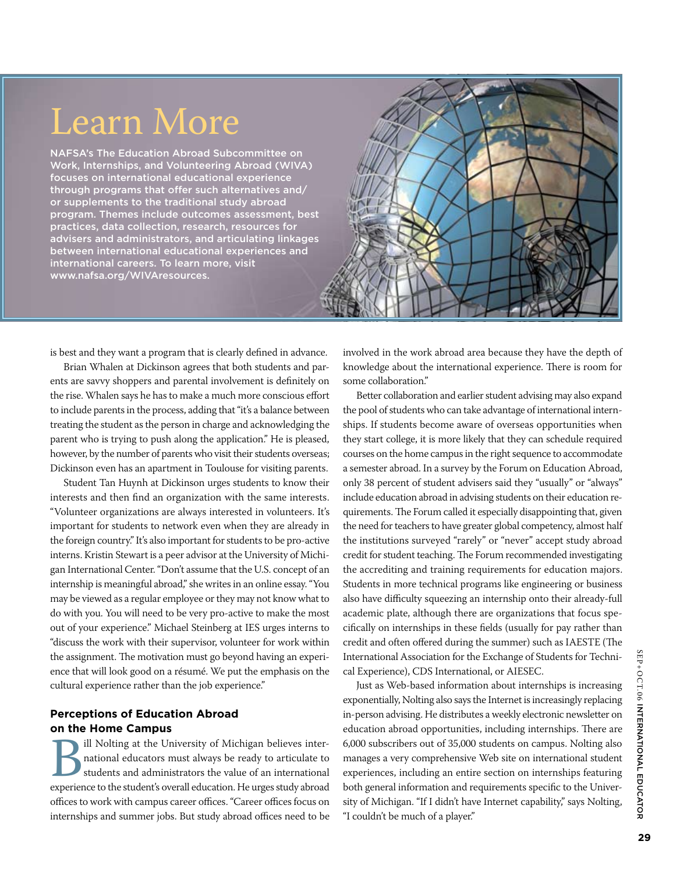# Learn More

NAFSA's The Education Abroad Subcommittee on Work, Internships, and Volunteering Abroad (WIVA) focuses on international educational experience through programs that offer such alternatives and/ or supplements to the traditional study abroad program. Themes include outcomes assessment, best practices, data collection, research, resources for advisers and administrators, and articulating linkages between international educational experiences and international careers. To learn more, visit www.nafsa.org/WIVAresources.



is best and they want a program that is clearly defined in advance.

Brian Whalen at Dickinson agrees that both students and parents are savvy shoppers and parental involvement is definitely on the rise. Whalen says he has to make a much more conscious effort to include parents in the process, adding that "it's a balance between treating the student as the person in charge and acknowledging the parent who is trying to push along the application." He is pleased, however, by the number of parents who visit their students overseas; Dickinson even has an apartment in Toulouse for visiting parents.

Student Tan Huynh at Dickinson urges students to know their interests and then find an organization with the same interests. "Volunteer organizations are always interested in volunteers. It's important for students to network even when they are already in the foreign country." It's also important for students to be pro-active interns. Kristin Stewart is a peer advisor at the University of Michigan International Center. "Don't assume that the U.S. concept of an internship is meaningful abroad," she writes in an online essay. "You may be viewed as a regular employee or they may not know what to do with you. You will need to be very pro-active to make the most out of your experience." Michael Steinberg at IES urges interns to "discuss the work with their supervisor, volunteer for work within the assignment. The motivation must go beyond having an experience that will look good on a résumé. We put the emphasis on the cultural experience rather than the job experience."

# **Perceptions of Education Abroad on the Home Campus**

Bill Nolting at the University of Michigan believes inter-<br>
ational educators must always be ready to articulate to<br>
students and administrators the value of an international<br>
experience to the student's overall education. national educators must always be ready to articulate to students and administrators the value of an international offices to work with campus career offices. "Career offices focus on internships and summer jobs. But study abroad offices need to be

involved in the work abroad area because they have the depth of knowledge about the international experience. There is room for some collaboration."

Better collaboration and earlier student advising may also expand the pool of students who can take advantage of international internships. If students become aware of overseas opportunities when they start college, it is more likely that they can schedule required courses on the home campus in the right sequence to accommodate a semester abroad. In a survey by the Forum on Education Abroad, only 38 percent of student advisers said they "usually" or "always" include education abroad in advising students on their education requirements. The Forum called it especially disappointing that, given the need for teachers to have greater global competency, almost half the institutions surveyed "rarely" or "never" accept study abroad credit for student teaching. The Forum recommended investigating the accrediting and training requirements for education majors. Students in more technical programs like engineering or business also have difficulty squeezing an internship onto their already-full academic plate, although there are organizations that focus specifically on internships in these fields (usually for pay rather than credit and often offered during the summer) such as IAESTE (The International Association for the Exchange of Students for Technical Experience), CDS International, or AIESEC.

Just as Web-based information about internships is increasing exponentially, Nolting also says the Internet is increasingly replacing in-person advising. He distributes a weekly electronic newsletter on education abroad opportunities, including internships. There are 6,000 subscribers out of 35,000 students on campus. Nolting also manages a very comprehensive Web site on international student experiences, including an entire section on internships featuring both general information and requirements specific to the University of Michigan. "If I didn't have Internet capability," says Nolting, "I couldn't be much of a player."